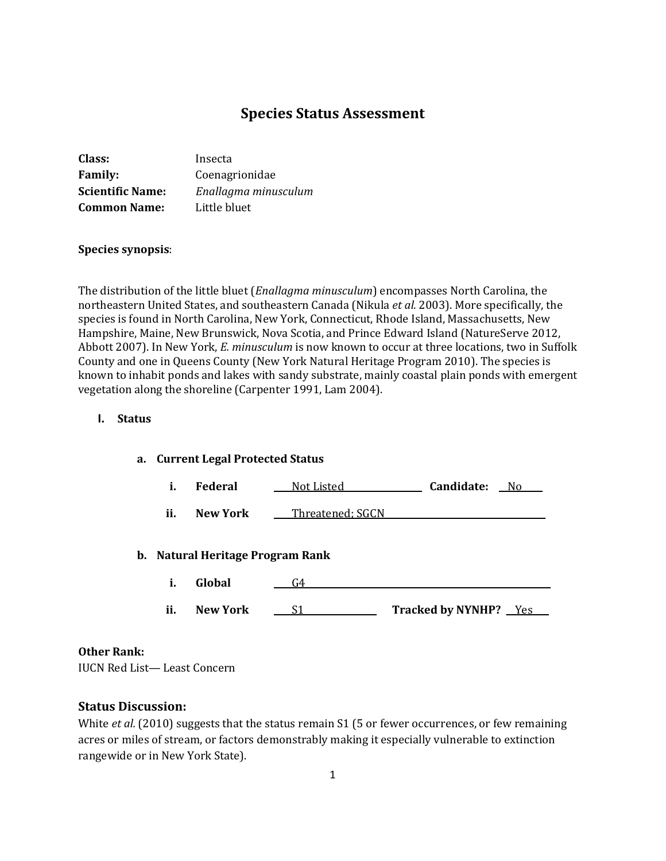# **Species Status Assessment**

| Class:                  | Insecta              |
|-------------------------|----------------------|
| <b>Family:</b>          | Coenagrionidae       |
| <b>Scientific Name:</b> | Enallagma minusculum |
| <b>Common Name:</b>     | Little bluet         |

#### **Species synopsis**:

The distribution of the little bluet (*Enallagma minusculum*) encompasses North Carolina, the northeastern United States, and southeastern Canada (Nikula *et al.* 2003). More specifically, the species is found in North Carolina, New York, Connecticut, Rhode Island, Massachusetts, New Hampshire, Maine, New Brunswick, Nova Scotia, and Prince Edward Island (NatureServe 2012, Abbott 2007). In New York, *E. minusculum* is now known to occur at three locations, two in Suffolk County and one in Queens County (New York Natural Heritage Program 2010). The species is known to inhabit ponds and lakes with sandy substrate, mainly coastal plain ponds with emergent vegetation along the shoreline (Carpenter 1991, Lam 2004).

#### **I. Status**

# **a. Current Legal Protected Status i. Federal \_\_\_\_**Not Listed**\_\_ \_\_\_\_\_\_\_\_\_ Candidate: \_\_**No**\_\_\_\_ ii. New York Threatened**; SGCN **b. Natural Heritage Program Rank i. Global \_\_\_\_**G4**\_\_ \_\_\_\_\_** ii. New York <u>S1</u> **\_\_\_\_\_\_\_** Tracked by NYNHP?  $\frac{Yes}{I}$

#### **Other Rank:**

IUCN Red List— Least Concern

#### **Status Discussion:**

White *et al.* (2010) suggests that the status remain S1 (5 or fewer occurrences, or few remaining acres or miles of stream, or factors demonstrably making it especially vulnerable to extinction rangewide or in New York State).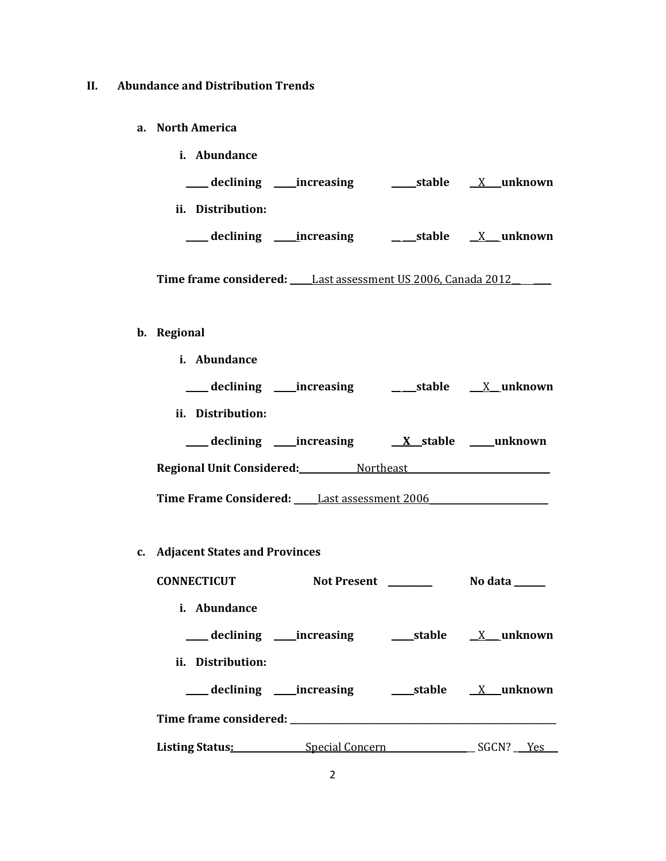- **II. Abundance and Distribution Trends**
	- **a. North America**
		- **i. Abundance \_\_\_\_\_ declining \_\_\_\_\_increasing \_\_ \_\_\_stable \_\_**X**\_\_\_ unknown ii. Distribution: \_\_\_\_\_ declining \_\_\_\_\_increasing \_\_ \_\_\_stable \_\_**X**\_\_\_ unknown**

**Time frame considered: \_\_\_\_\_**Last assessment US 2006, Canada 2012**\_\_ \_\_\_\_**

# **b. Regional**

| <i>i.</i> Abundance                        |                      |                  |
|--------------------------------------------|----------------------|------------------|
| declining _____increasing                  |                      | stable X unknown |
| ii. Distribution:                          |                      |                  |
| declining _____increasing                  |                      |                  |
| <b>Regional Unit Considered:</b> Northeast |                      |                  |
| <b>Time Frame Considered:</b>              | Last assessment 2006 |                  |

**c. Adjacent States and Provinces**

| <b>CONNECTICUT</b>              | Not Present                | No data ______   |
|---------------------------------|----------------------------|------------------|
| <i>i.</i> Abundance             |                            |                  |
|                                 | declining ______increasing | stable X unknown |
| ii. Distribution:               |                            |                  |
| declining _____increasing       |                            | stable X unknown |
|                                 |                            |                  |
| Listing Status: Special Concern |                            | SGCN? Yes        |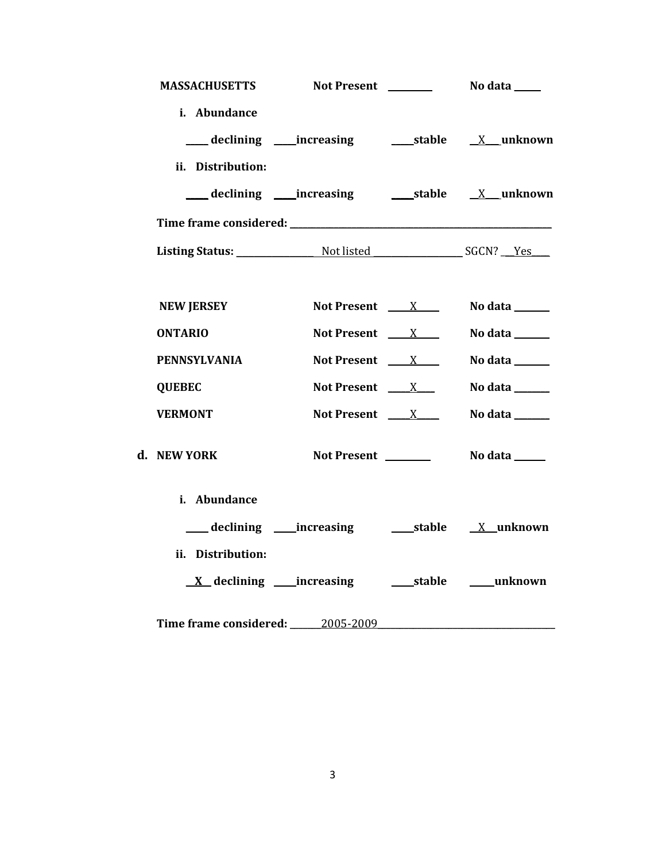| <b>MASSACHUSETTS</b>              |                              |                                 |
|-----------------------------------|------------------------------|---------------------------------|
| i. Abundance<br>ii. Distribution: |                              |                                 |
|                                   |                              |                                 |
|                                   |                              |                                 |
|                                   |                              |                                 |
| <b>NEW JERSEY</b>                 | Not Present $\frac{X}{X}$    | No data ______                  |
| <b>ONTARIO</b>                    | Not Present $\frac{X}{X}$    | No data $\_\_\_\_\_\_\_\_\_\_\$ |
| <b>PENNSYLVANIA</b>               | Not Present $X_{\text{max}}$ | No data ______                  |
| <b>QUEBEC</b>                     | Not Present $X$              | No data ______                  |
| <b>VERMONT</b>                    | Not Present $X$              | No data $\_\_\_\_\_\_\_\_\_\_\$ |
| d. NEW YORK                       |                              | No data ______                  |
| i. Abundance                      |                              |                                 |
|                                   |                              |                                 |
| ii. Distribution:                 |                              |                                 |
| Time frame considered: 2005-2009  |                              |                                 |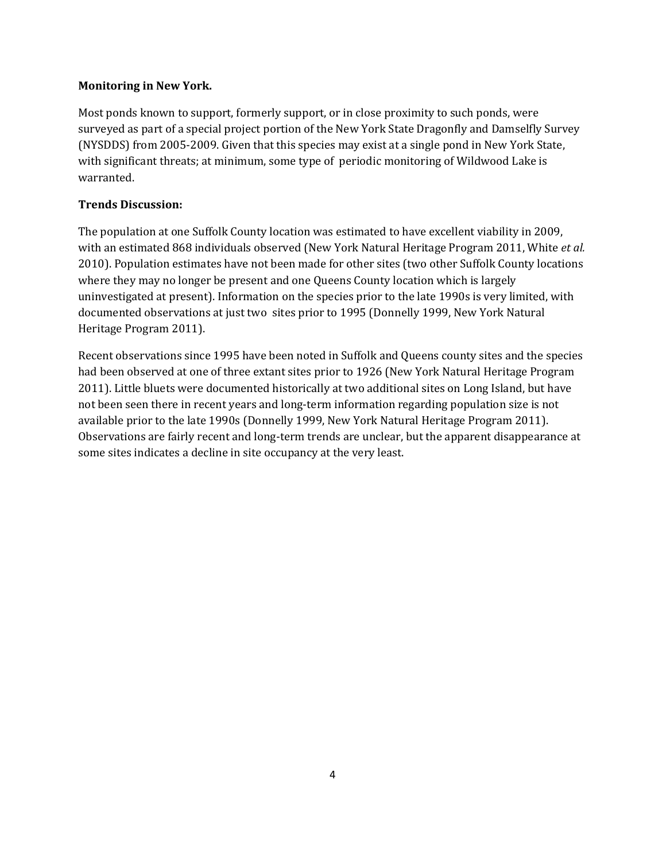## **Monitoring in New York.**

Most ponds known to support, formerly support, or in close proximity to such ponds, were surveyed as part of a special project portion of the New York State Dragonfly and Damselfly Survey (NYSDDS) from 2005-2009. Given that this species may exist at a single pond in New York State, with significant threats; at minimum, some type of periodic monitoring of Wildwood Lake is warranted.

## **Trends Discussion:**

The population at one Suffolk County location was estimated to have excellent viability in 2009, with an estimated 868 individuals observed (New York Natural Heritage Program 2011, White *et al.* 2010). Population estimates have not been made for other sites (two other Suffolk County locations where they may no longer be present and one Queens County location which is largely uninvestigated at present). Information on the species prior to the late 1990s is very limited, with documented observations at just two sites prior to 1995 (Donnelly 1999, New York Natural Heritage Program 2011).

Recent observations since 1995 have been noted in Suffolk and Queens county sites and the species had been observed at one of three extant sites prior to 1926 (New York Natural Heritage Program 2011). Little bluets were documented historically at two additional sites on Long Island, but have not been seen there in recent years and long-term information regarding population size is not available prior to the late 1990s (Donnelly 1999, New York Natural Heritage Program 2011). Observations are fairly recent and long-term trends are unclear, but the apparent disappearance at some sites indicates a decline in site occupancy at the very least.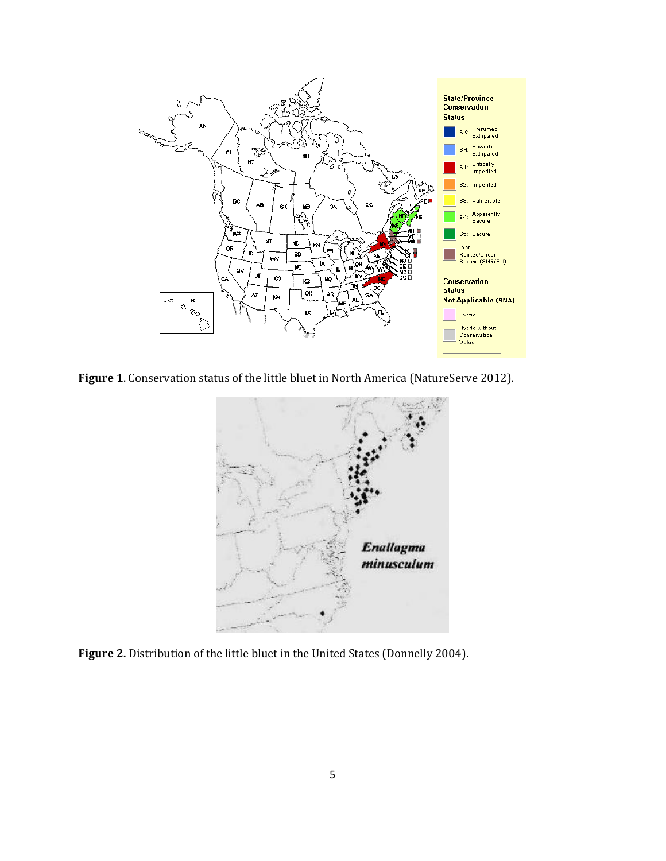

**Figure 1**. Conservation status of the little bluet in North America (NatureServe 2012).



**Figure 2.** Distribution of the little bluet in the United States (Donnelly 2004).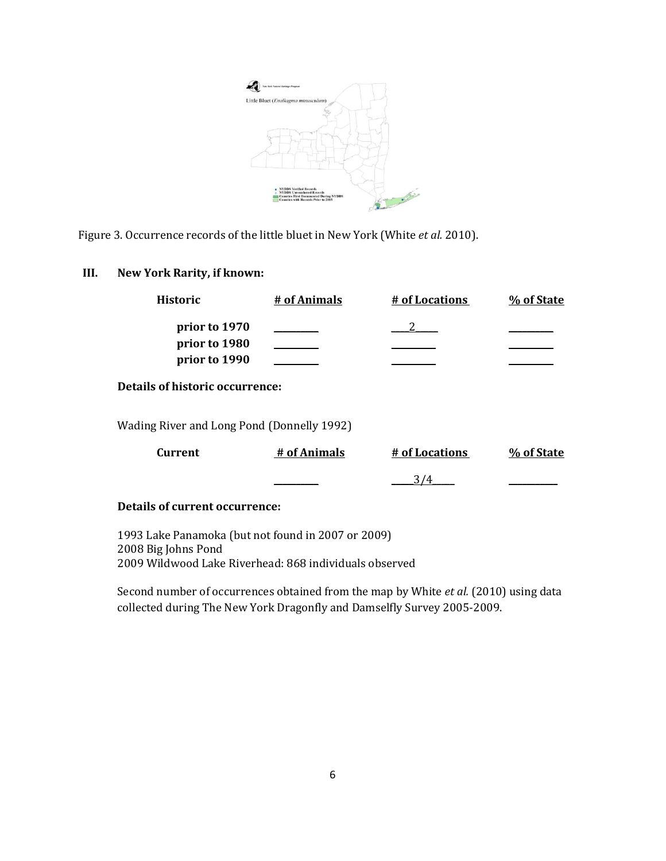

Figure 3. Occurrence records of the little bluet in New York (White *et al.* 2010).

## **III. New York Rarity, if known:**

| <b>Historic</b>                                 | # of Animals | # of Locations | % of State |
|-------------------------------------------------|--------------|----------------|------------|
| prior to 1970<br>prior to 1980<br>prior to 1990 |              | 2              |            |
| <b>Details of historic occurrence:</b>          |              |                |            |
| Wading River and Long Pond (Donnelly 1992)      |              |                |            |
| <b>Current</b>                                  | # of Animals | # of Locations | % of State |

**\_\_\_\_\_\_\_\_\_\_ \_\_\_\_\_**3/4\_\_\_\_\_ **\_\_\_\_\_\_\_\_\_\_\_**

#### **Details of current occurrence:**

1993 Lake Panamoka (but not found in 2007 or 2009) 2008 Big Johns Pond 2009 Wildwood Lake Riverhead: 868 individuals observed

Second number of occurrences obtained from the map by White *et al.* (2010) using data collected during The New York Dragonfly and Damselfly Survey 2005-2009.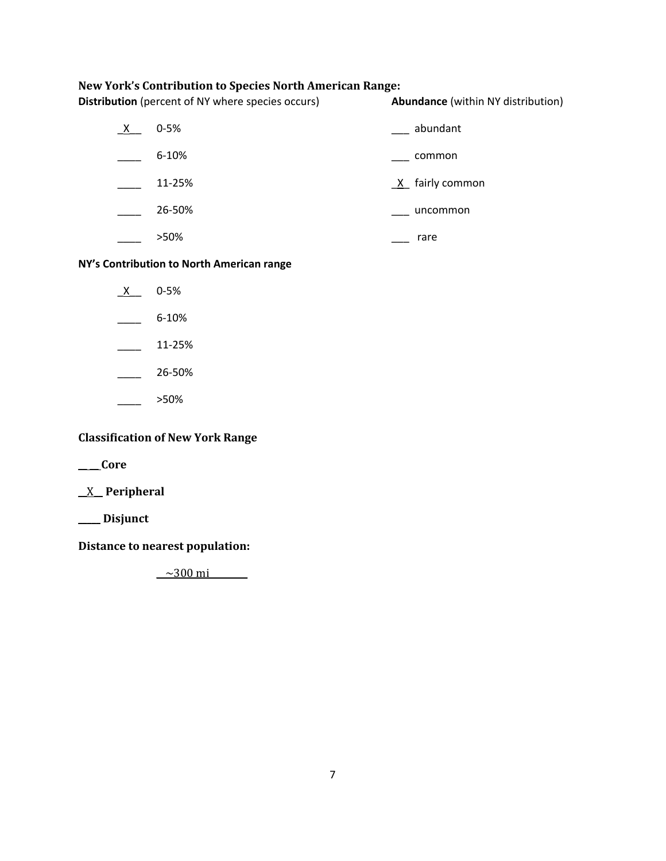# **New York's Contribution to Species North American Range:**

**Distribution** (percent of NY where species occurs) **Abundance** (within NY distribution)

| $0 - 5%$  | abundant          |
|-----------|-------------------|
| $6 - 10%$ | common            |
| 11-25%    | $X$ fairly common |
| 26-50%    | uncommon          |
| >50%      | rare              |

# **NY's Contribution to North American range**

- $X$  0-5%
- $-$  6-10%
- $\frac{11-25\%}{2\%}$
- $\frac{26-50\%}{26}$
- \_\_\_\_ >50%

# **Classification of New York Range**

**\_\_ \_\_ Core**

**\_\_**X**\_\_ Peripheral**

**\_\_\_\_\_ Disjunct**

**Distance to nearest population:**

 $-300 \text{ mi}$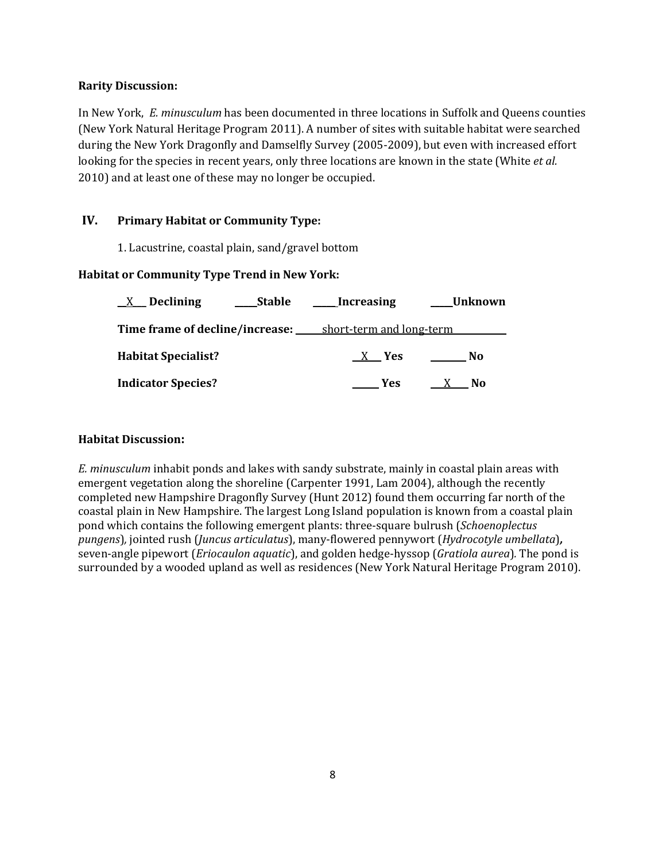#### **Rarity Discussion:**

In New York, *E. minusculum* has been documented in three locations in Suffolk and Queens counties (New York Natural Heritage Program 2011). A number of sites with suitable habitat were searched during the New York Dragonfly and Damselfly Survey (2005-2009), but even with increased effort looking for the species in recent years, only three locations are known in the state (White *et al.*  2010) and at least one of these may no longer be occupied.

## **IV. Primary Habitat or Community Type:**

1. Lacustrine, coastal plain, sand/gravel bottom

## **Habitat or Community Type Trend in New York:**

| ____Stable<br>$X$ Declining                                           | Increasing<br>Unknown |
|-----------------------------------------------------------------------|-----------------------|
| <b>Time frame of decline/increase:</b> ______short-term and long-term |                       |
| <b>Habitat Specialist?</b>                                            | X Yes<br>- No         |
| <b>Indicator Species?</b>                                             | <b>Yes</b><br>No.     |

#### **Habitat Discussion:**

*E. minusculum* inhabit ponds and lakes with sandy substrate, mainly in coastal plain areas with emergent vegetation along the shoreline (Carpenter 1991, Lam 2004), although the recently completed new Hampshire Dragonfly Survey (Hunt 2012) found them occurring far north of the coastal plain in New Hampshire. The largest Long Island population is known from a coastal plain pond which contains the following emergent plants: three-square bulrush (*Schoenoplectus pungens*)*,* jointed rush (*Juncus articulatus*), many-flowered pennywort (*Hydrocotyle umbellata*)*,*  seven-angle pipewort (*Eriocaulon aquatic*), and golden hedge-hyssop (*Gratiola aurea*)*.* The pond is surrounded by a wooded upland as well as residences (New York Natural Heritage Program 2010).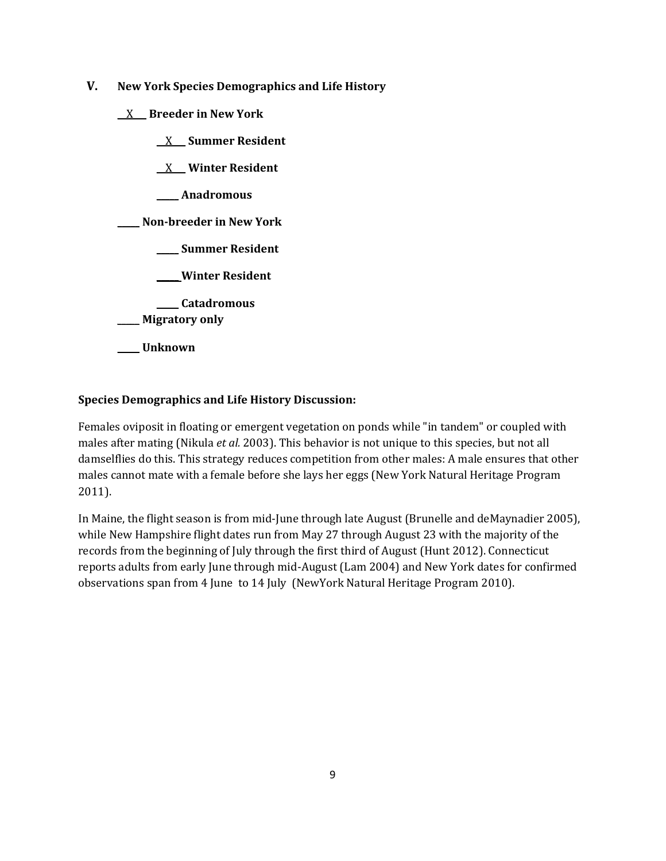- **V. New York Species Demographics and Life History**
	- **\_\_**X**\_\_\_ Breeder in New York**
		- **\_\_**X**\_\_\_ Summer Resident**

**\_\_**X**\_\_\_ Winter Resident**

**\_\_\_\_\_ Anadromous**

**\_\_\_\_\_ Non-breeder in New York**

**\_\_\_\_\_ Summer Resident**

**\_\_\_\_\_ Winter Resident**

**\_\_\_\_\_ Catadromous**

\_\_\_\_\_ **Migratory only**

**\_\_\_\_\_ Unknown**

# **Species Demographics and Life History Discussion:**

Females oviposit in floating or emergent vegetation on ponds while "in tandem" or coupled with males after mating (Nikula *et al.* 2003). This behavior is not unique to this species, but not all damselflies do this. This strategy reduces competition from other males: A male ensures that other males cannot mate with a female before she lays her eggs (New York Natural Heritage Program 2011).

In Maine, the flight season is from mid-June through late August (Brunelle and deMaynadier 2005), while New Hampshire flight dates run from May 27 through August 23 with the majority of the records from the beginning of July through the first third of August (Hunt 2012). Connecticut reports adults from early June through mid-August (Lam 2004) and New York dates for confirmed observations span from 4 June to 14 July (NewYork Natural Heritage Program 2010).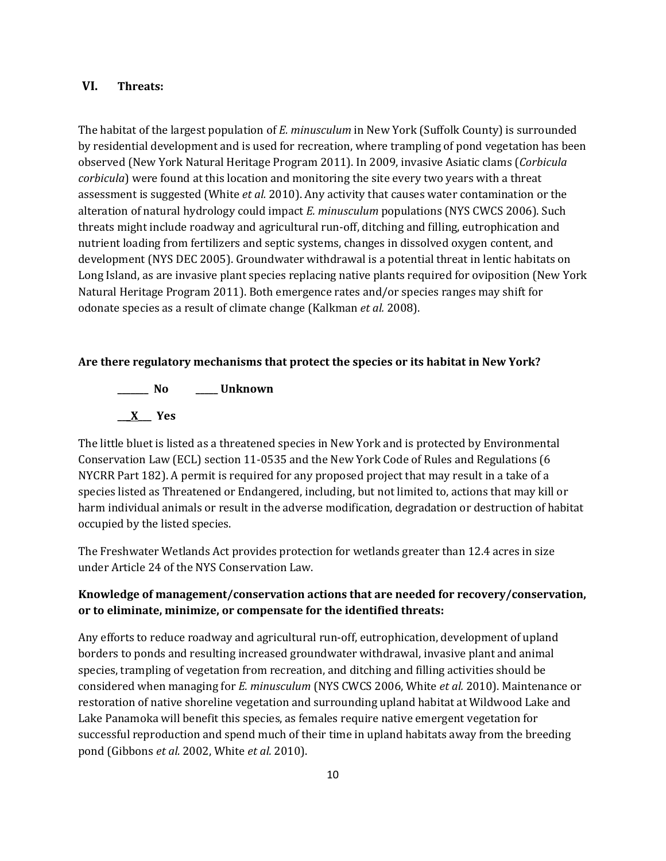# **VI. Threats:**

The habitat of the largest population of *E. minusculum* in New York (Suffolk County) is surrounded by residential development and is used for recreation, where trampling of pond vegetation has been observed (New York Natural Heritage Program 2011). In 2009, invasive Asiatic clams (*Corbicula corbicula*) were found at this location and monitoring the site every two years with a threat assessment is suggested (White *et al.* 2010). Any activity that causes water contamination or the alteration of natural hydrology could impact *E. minusculum* populations (NYS CWCS 2006). Such threats might include roadway and agricultural run-off, ditching and filling, eutrophication and nutrient loading from fertilizers and septic systems, changes in dissolved oxygen content, and development (NYS DEC 2005). Groundwater withdrawal is a potential threat in lentic habitats on Long Island, as are invasive plant species replacing native plants required for oviposition (New York Natural Heritage Program 2011). Both emergence rates and/or species ranges may shift for odonate species as a result of climate change (Kalkman *et al.* 2008).

#### **Are there regulatory mechanisms that protect the species or its habitat in New York?**

**\_\_\_\_\_\_\_ No \_\_\_\_\_ Unknown \_\_\_X\_\_\_ Yes** 

The little bluet is listed as a threatened species in New York and is protected by Environmental Conservation Law (ECL) section 11-0535 and the New York Code of Rules and Regulations (6 NYCRR Part 182). A permit is required for any proposed project that may result in a take of a species listed as Threatened or Endangered, including, but not limited to, actions that may kill or harm individual animals or result in the adverse modification, degradation or destruction of habitat occupied by the listed species.

The Freshwater Wetlands Act provides protection for wetlands greater than 12.4 acres in size under Article 24 of the NYS Conservation Law.

# **Knowledge of management/conservation actions that are needed for recovery/conservation, or to eliminate, minimize, or compensate for the identified threats:**

Any efforts to reduce roadway and agricultural run-off, eutrophication, development of upland borders to ponds and resulting increased groundwater withdrawal, invasive plant and animal species, trampling of vegetation from recreation, and ditching and filling activities should be considered when managing for *E. minusculum* (NYS CWCS 2006, White *et al.* 2010). Maintenance or restoration of native shoreline vegetation and surrounding upland habitat at Wildwood Lake and Lake Panamoka will benefit this species, as females require native emergent vegetation for successful reproduction and spend much of their time in upland habitats away from the breeding pond (Gibbons *et al.* 2002, White *et al.* 2010).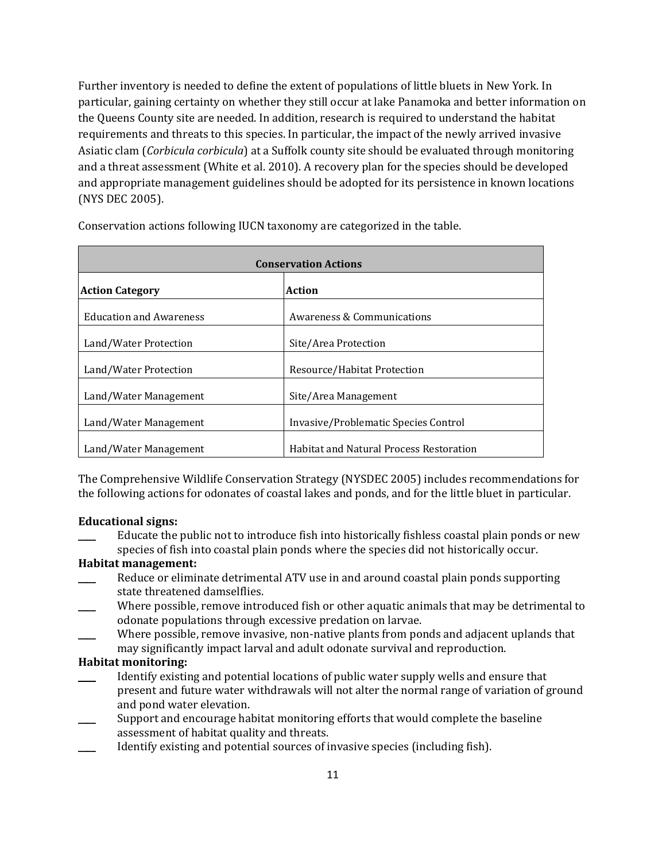Further inventory is needed to define the extent of populations of little bluets in New York. In particular, gaining certainty on whether they still occur at lake Panamoka and better information on the Queens County site are needed. In addition, research is required to understand the habitat requirements and threats to this species. In particular, the impact of the newly arrived invasive Asiatic clam (*Corbicula corbicula*) at a Suffolk county site should be evaluated through monitoring and a threat assessment (White et al. 2010). A recovery plan for the species should be developed and appropriate management guidelines should be adopted for its persistence in known locations (NYS DEC 2005).

| <b>Conservation Actions</b>    |                                         |  |
|--------------------------------|-----------------------------------------|--|
| <b>Action Category</b>         | Action                                  |  |
| <b>Education and Awareness</b> | Awareness & Communications              |  |
| Land/Water Protection          | Site/Area Protection                    |  |
| Land/Water Protection          | Resource/Habitat Protection             |  |
| Land/Water Management          | Site/Area Management                    |  |
| Land/Water Management          | Invasive/Problematic Species Control    |  |
| Land/Water Management          | Habitat and Natural Process Restoration |  |

Conservation actions following IUCN taxonomy are categorized in the table.

The Comprehensive Wildlife Conservation Strategy (NYSDEC 2005) includes recommendations for the following actions for odonates of coastal lakes and ponds, and for the little bluet in particular.

#### **Educational signs:**

Educate the public not to introduce fish into historically fishless coastal plain ponds or new species of fish into coastal plain ponds where the species did not historically occur.

#### **Habitat management:**

- Reduce or eliminate detrimental ATV use in and around coastal plain ponds supporting state threatened damselflies.
- Where possible, remove introduced fish or other aquatic animals that may be detrimental to odonate populations through excessive predation on larvae.
- Where possible, remove invasive, non-native plants from ponds and adjacent uplands that may significantly impact larval and adult odonate survival and reproduction.

#### **Habitat monitoring:**

- Identify existing and potential locations of public water supply wells and ensure that present and future water withdrawals will not alter the normal range of variation of ground and pond water elevation.
- Support and encourage habitat monitoring efforts that would complete the baseline assessment of habitat quality and threats.
- Identify existing and potential sources of invasive species (including fish).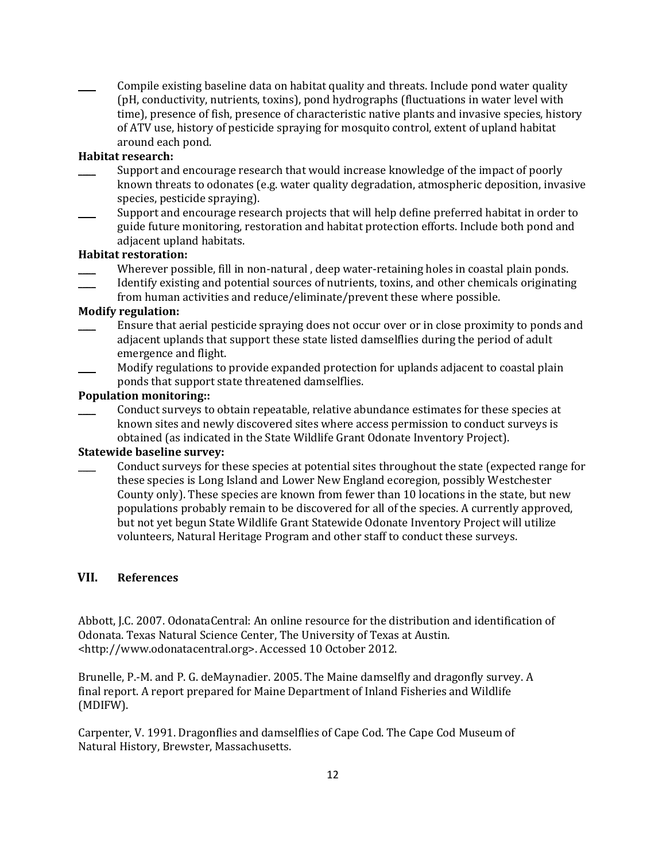\_\_\_\_ Compile existing baseline data on habitat quality and threats. Include pond water quality (pH, conductivity, nutrients, toxins), pond hydrographs (fluctuations in water level with time), presence of fish, presence of characteristic native plants and invasive species, history of ATV use, history of pesticide spraying for mosquito control, extent of upland habitat around each pond.

## **Habitat research:**

- Support and encourage research that would increase knowledge of the impact of poorly known threats to odonates (e.g. water quality degradation, atmospheric deposition, invasive species, pesticide spraying).
- Support and encourage research projects that will help define preferred habitat in order to guide future monitoring, restoration and habitat protection efforts. Include both pond and adjacent upland habitats.

#### **Habitat restoration:**

- Wherever possible, fill in non-natural , deep water-retaining holes in coastal plain ponds. \_\_\_\_ Identify existing and potential sources of nutrients, toxins, and other chemicals originating
	- from human activities and reduce/eliminate/prevent these where possible.

### **Modify regulation:**

- \_\_\_\_ Ensure that aerial pesticide spraying does not occur over or in close proximity to ponds and adjacent uplands that support these state listed damselflies during the period of adult emergence and flight.
- Modify regulations to provide expanded protection for uplands adjacent to coastal plain ponds that support state threatened damselflies.

#### **Population monitoring::**

\_\_\_\_ Conduct surveys to obtain repeatable, relative abundance estimates for these species at known sites and newly discovered sites where access permission to conduct surveys is obtained (as indicated in the State Wildlife Grant Odonate Inventory Project).

#### **Statewide baseline survey:**

Conduct surveys for these species at potential sites throughout the state (expected range for these species is Long Island and Lower New England ecoregion, possibly Westchester County only). These species are known from fewer than 10 locations in the state, but new populations probably remain to be discovered for all of the species. A currently approved, but not yet begun State Wildlife Grant Statewide Odonate Inventory Project will utilize volunteers, Natural Heritage Program and other staff to conduct these surveys.

## **VII. References**

Abbott, J.C. 2007. OdonataCentral: An online resource for the distribution and identification of Odonata. Texas Natural Science Center, The University of Texas at Austin. <http://www.odonatacentral.org>. Accessed 10 October 2012.

Brunelle, P.-M. and P. G. deMaynadier. 2005. The Maine damselfly and dragonfly survey. A final report. A report prepared for Maine Department of Inland Fisheries and Wildlife (MDIFW).

Carpenter, V. 1991. Dragonflies and damselflies of Cape Cod. The Cape Cod Museum of Natural History, Brewster, Massachusetts.